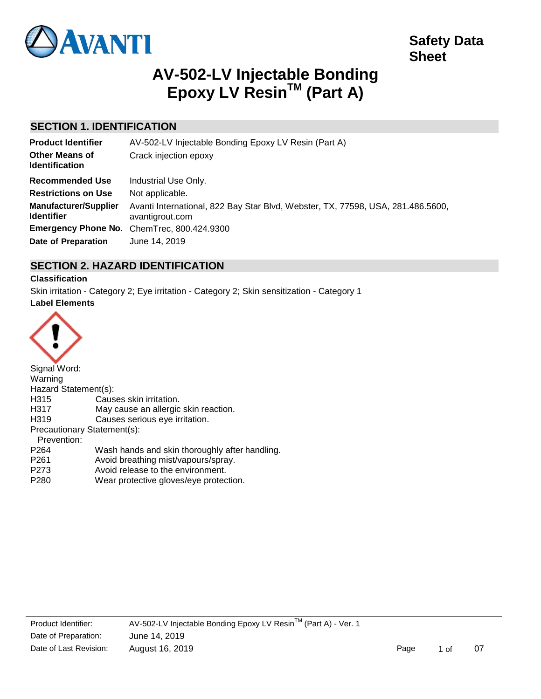

# **AV-502-LV Injectable Bonding Epoxy LV ResinTM (Part A)**

# **SECTION 1. IDENTIFICATION**

| <b>Product Identifier</b>                         | AV-502-LV Injectable Bonding Epoxy LV Resin (Part A)                                               |  |  |  |
|---------------------------------------------------|----------------------------------------------------------------------------------------------------|--|--|--|
| <b>Other Means of</b><br><b>Identification</b>    | Crack injection epoxy                                                                              |  |  |  |
| <b>Recommended Use</b>                            | Industrial Use Only.                                                                               |  |  |  |
| <b>Restrictions on Use</b>                        | Not applicable.                                                                                    |  |  |  |
| <b>Manufacturer/Supplier</b><br><b>Identifier</b> | Avanti International, 822 Bay Star Blvd, Webster, TX, 77598, USA, 281.486.5600,<br>avantigrout.com |  |  |  |
|                                                   | Emergency Phone No. ChemTrec, 800.424.9300                                                         |  |  |  |
| Date of Preparation                               | June 14, 2019                                                                                      |  |  |  |

# **SECTION 2. HAZARD IDENTIFICATION**

# **Classification**

Skin irritation - Category 2; Eye irritation - Category 2; Skin sensitization - Category 1 **Label Elements**



| Signal Word:                |                                                |
|-----------------------------|------------------------------------------------|
| Warning                     |                                                |
| Hazard Statement(s):        |                                                |
| H <sub>315</sub>            | Causes skin irritation.                        |
| H317                        | May cause an allergic skin reaction.           |
| H <sub>319</sub>            | Causes serious eye irritation.                 |
| Precautionary Statement(s): |                                                |
| Prevention:                 |                                                |
| P <sub>264</sub>            | Wash hands and skin thoroughly after handling. |
| P <sub>261</sub>            | Avoid breathing mist/vapours/spray.            |
| P <sub>273</sub>            | Avoid release to the environment.              |
| P <sub>280</sub>            | Wear protective gloves/eye protection.         |
|                             |                                                |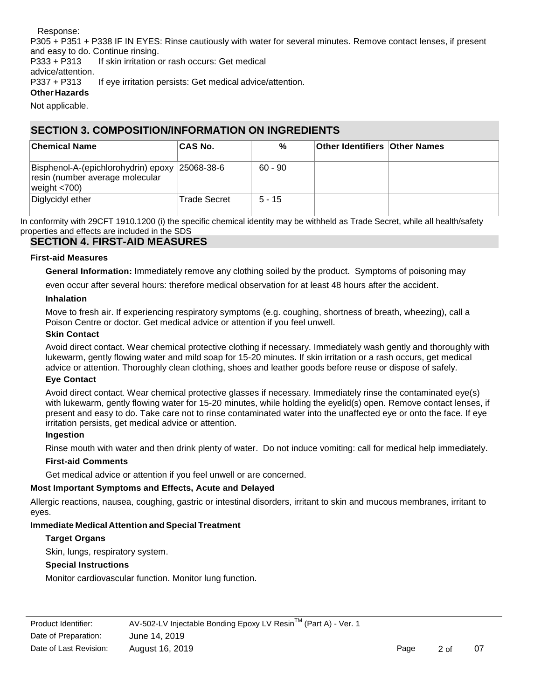Response:

P305 + P351 + P338 IF IN EYES: Rinse cautiously with water for several minutes. Remove contact lenses, if present and easy to do. Continue rinsing.

P333 + P313 If skin irritation or rash occurs: Get medical advice/attention.

P337 + P313 If eye irritation persists: Get medical advice/attention.

# **Other Hazards**

Not applicable.

# **SECTION 3. COMPOSITION/INFORMATION ON INGREDIENTS**

| <b>Chemical Name</b>                                                                                 | <b>CAS No.</b> | %         | <b>Other Identifiers Other Names</b> |  |
|------------------------------------------------------------------------------------------------------|----------------|-----------|--------------------------------------|--|
| Bisphenol-A-(epichlorohydrin) epoxy 25068-38-6<br>resin (number average molecular<br>weight $<$ 700) |                | $60 - 90$ |                                      |  |
| Diglycidyl ether                                                                                     | Trade Secret   | $5 - 15$  |                                      |  |

In conformity with 29CFT 1910.1200 (i) the specific chemical identity may be withheld as Trade Secret, while all health/safety properties and effects are included in the SDS

# **SECTION 4. FIRST-AID MEASURES**

## **First-aid Measures**

**General Information:** Immediately remove any clothing soiled by the product. Symptoms of poisoning may

even occur after several hours: therefore medical observation for at least 48 hours after the accident.

# **Inhalation**

Move to fresh air. If experiencing respiratory symptoms (e.g. coughing, shortness of breath, wheezing), call a Poison Centre or doctor. Get medical advice or attention if you feel unwell.

# **Skin Contact**

Avoid direct contact. Wear chemical protective clothing if necessary. Immediately wash gently and thoroughly with lukewarm, gently flowing water and mild soap for 15-20 minutes. If skin irritation or a rash occurs, get medical advice or attention. Thoroughly clean clothing, shoes and leather goods before reuse or dispose of safely.

## **Eye Contact**

Avoid direct contact. Wear chemical protective glasses if necessary. Immediately rinse the contaminated eye(s) with lukewarm, gently flowing water for 15-20 minutes, while holding the eyelid(s) open. Remove contact lenses, if present and easy to do. Take care not to rinse contaminated water into the unaffected eye or onto the face. If eye irritation persists, get medical advice or attention.

## **Ingestion**

Rinse mouth with water and then drink plenty of water. Do not induce vomiting: call for medical help immediately.

# **First-aid Comments**

Get medical advice or attention if you feel unwell or are concerned.

# **Most Important Symptoms and Effects, Acute and Delayed**

Allergic reactions, nausea, coughing, gastric or intestinal disorders, irritant to skin and mucous membranes, irritant to eyes.

# **Immediate Medical Attention and Special Treatment**

# **Target Organs**

Skin, lungs, respiratory system.

# **Special Instructions**

Monitor cardiovascular function. Monitor lung function.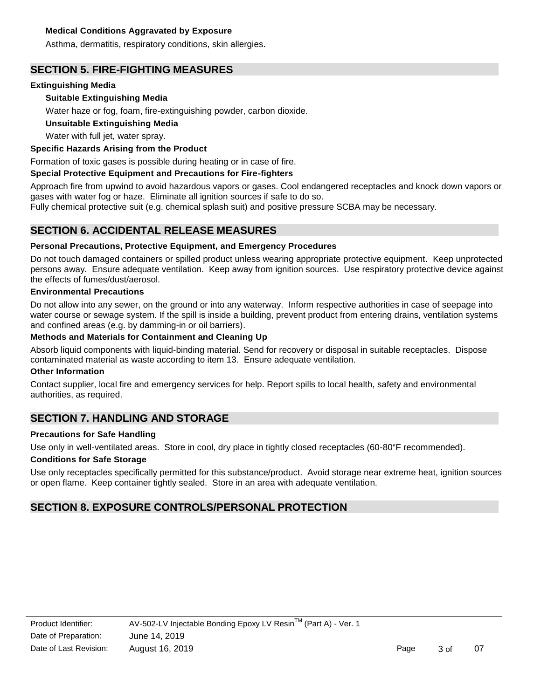## **Medical Conditions Aggravated by Exposure**

Asthma, dermatitis, respiratory conditions, skin allergies.

# **SECTION 5. FIRE-FIGHTING MEASURES**

## **Extinguishing Media**

## **Suitable Extinguishing Media**

Water haze or fog, foam, fire-extinguishing powder, carbon dioxide.

### **Unsuitable Extinguishing Media**

Water with full jet, water spray.

### **Specific Hazards Arising from the Product**

Formation of toxic gases is possible during heating or in case of fire.

### **Special Protective Equipment and Precautions for Fire-fighters**

Approach fire from upwind to avoid hazardous vapors or gases. Cool endangered receptacles and knock down vapors or gases with water fog or haze. Eliminate all ignition sources if safe to do so.

Fully chemical protective suit (e.g. chemical splash suit) and positive pressure SCBA may be necessary.

# **SECTION 6. ACCIDENTAL RELEASE MEASURES**

### **Personal Precautions, Protective Equipment, and Emergency Procedures**

Do not touch damaged containers or spilled product unless wearing appropriate protective equipment. Keep unprotected persons away. Ensure adequate ventilation. Keep away from ignition sources. Use respiratory protective device against the effects of fumes/dust/aerosol.

#### **Environmental Precautions**

Do not allow into any sewer, on the ground or into any waterway. Inform respective authorities in case of seepage into water course or sewage system. If the spill is inside a building, prevent product from entering drains, ventilation systems and confined areas (e.g. by damming-in or oil barriers).

# **Methods and Materials for Containment and Cleaning Up**

Absorb liquid components with liquid-binding material. Send for recovery or disposal in suitable receptacles. Dispose contaminated material as waste according to item 13. Ensure adequate ventilation.

#### **Other Information**

Contact supplier, local fire and emergency services for help. Report spills to local health, safety and environmental authorities, as required.

# **SECTION 7. HANDLING AND STORAGE**

#### **Precautions for Safe Handling**

Use only in well-ventilated areas. Store in cool, dry place in tightly closed receptacles (60-80°F recommended).

## **Conditions for Safe Storage**

Use only receptacles specifically permitted for this substance/product. Avoid storage near extreme heat, ignition sources or open flame. Keep container tightly sealed. Store in an area with adequate ventilation.

# **SECTION 8. EXPOSURE CONTROLS/PERSONAL PROTECTION**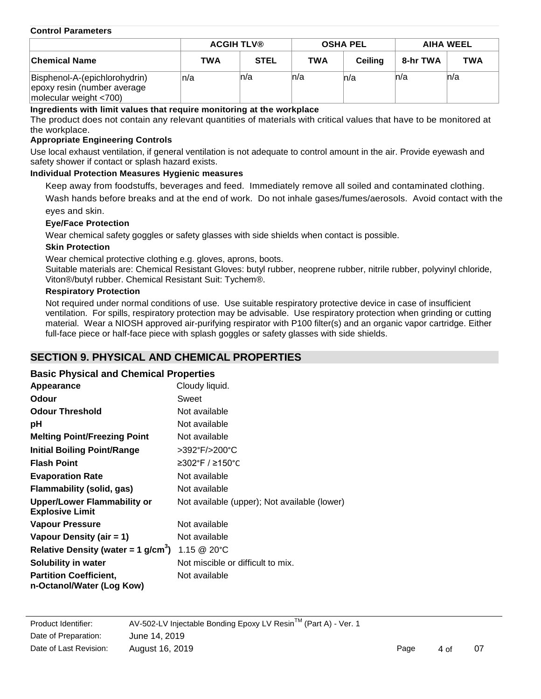#### **Control Parameters**

|                                                                                           | <b>ACGIH TLV®</b> |             | <b>OSHA PEL</b> |         | AIHA WEEL |            |
|-------------------------------------------------------------------------------------------|-------------------|-------------|-----------------|---------|-----------|------------|
| ∣Chemical Name                                                                            | <b>TWA</b>        | <b>STEL</b> | <b>TWA</b>      | Ceilina | 8-hr TWA  | <b>TWA</b> |
| Bisphenol-A-(epichlorohydrin)<br>epoxy resin (number average<br>molecular weight $<$ 700) | n/a               | ln/a        | ln/a            | ln/a    | n/a       | n/a        |

### **Ingredients with limit values that require monitoring at the workplace**

The product does not contain any relevant quantities of materials with critical values that have to be monitored at the workplace.

### **Appropriate Engineering Controls**

Use local exhaust ventilation, if general ventilation is not adequate to control amount in the air. Provide eyewash and safety shower if contact or splash hazard exists.

### **Individual Protection Measures Hygienic measures**

Keep away from foodstuffs, beverages and feed. Immediately remove all soiled and contaminated clothing.

Wash hands before breaks and at the end of work. Do not inhale gases/fumes/aerosols. Avoid contact with the eyes and skin.

### **Eye/Face Protection**

Wear chemical safety goggles or safety glasses with side shields when contact is possible.

### **Skin Protection**

Wear chemical protective clothing e.g. gloves, aprons, boots.

Suitable materials are: Chemical Resistant Gloves: butyl rubber, neoprene rubber, nitrile rubber, polyvinyl chloride, Viton®/butyl rubber. Chemical Resistant Suit: Tychem®.

## **Respiratory Protection**

Not required under normal conditions of use. Use suitable respiratory protective device in case of insufficient ventilation. For spills, respiratory protection may be advisable. Use respiratory protection when grinding or cutting material. Wear a NIOSH approved air-purifying respirator with P100 filter(s) and an organic vapor cartridge. Either full-face piece or half-face piece with splash goggles or safety glasses with side shields.

# **SECTION 9. PHYSICAL AND CHEMICAL PROPERTIES**

## **Basic Physical and Chemical Properties**

| Appearance                                                   | Cloudy liquid.                               |
|--------------------------------------------------------------|----------------------------------------------|
| <b>Odour</b>                                                 | Sweet                                        |
| <b>Odour Threshold</b>                                       | Not available                                |
| рH                                                           | Not available                                |
| <b>Melting Point/Freezing Point</b>                          | Not available                                |
| <b>Initial Boiling Point/Range</b>                           | >392°F/>200°C                                |
| <b>Flash Point</b>                                           | ≥302°F / ≥150°C                              |
| <b>Evaporation Rate</b>                                      | Not available                                |
| Flammability (solid, gas)                                    | Not available                                |
| <b>Upper/Lower Flammability or</b><br><b>Explosive Limit</b> | Not available (upper); Not available (lower) |
| <b>Vapour Pressure</b>                                       | Not available                                |
| Vapour Density (air = 1)                                     | Not available                                |
| Relative Density (water = 1 $g/cm^{3}$ )                     | $1.15 \ @ \ 20^{\circ}$ C                    |
| Solubility in water                                          | Not miscible or difficult to mix.            |
| <b>Partition Coefficient,</b>                                | Not available                                |
| n-Octanol/Water (Log Kow)                                    |                                              |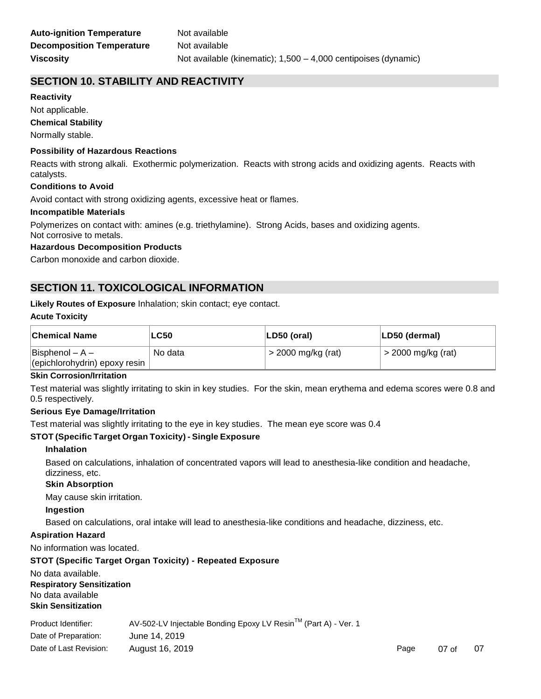# **SECTION 10. STABILITY AND REACTIVITY**

#### **Reactivity**

Not applicable.

#### **Chemical Stability**

Normally stable.

#### **Possibility of Hazardous Reactions**

Reacts with strong alkali. Exothermic polymerization. Reacts with strong acids and oxidizing agents. Reacts with catalysts.

#### **Conditions to Avoid**

Avoid contact with strong oxidizing agents, excessive heat or flames.

#### **Incompatible Materials**

Polymerizes on contact with: amines (e.g. triethylamine). Strong Acids, bases and oxidizing agents.

Not corrosive to metals.

# **Hazardous Decomposition Products**

Carbon monoxide and carbon dioxide.

# **SECTION 11. TOXICOLOGICAL INFORMATION**

#### **Likely Routes of Exposure** Inhalation; skin contact; eye contact.

#### **Acute Toxicity**

| <b>Chemical Name</b>                                     | <b>LC50</b> | LD50 (oral)          | LD50 (dermal)      |
|----------------------------------------------------------|-------------|----------------------|--------------------|
| $\vert$ Bisphenol – A –<br>(epichlorohydrin) epoxy resin | No data     | $>$ 2000 mg/kg (rat) | > 2000 mg/kg (rat) |

#### **Skin Corrosion/Irritation**

Test material was slightly irritating to skin in key studies. For the skin, mean erythema and edema scores were 0.8 and 0.5 respectively.

#### **Serious Eye Damage/Irritation**

Test material was slightly irritating to the eye in key studies. The mean eye score was 0.4

## **STOT (Specific Target Organ Toxicity) - Single Exposure**

#### **Inhalation**

Based on calculations, inhalation of concentrated vapors will lead to anesthesia-like condition and headache, dizziness, etc.

#### **Skin Absorption**

May cause skin irritation.

#### **Ingestion**

Based on calculations, oral intake will lead to anesthesia-like conditions and headache, dizziness, etc.

#### **Aspiration Hazard**

No information was located.

#### **STOT (Specific Target Organ Toxicity) - Repeated Exposure**

No data available. **Respiratory Sensitization**  No data available **Skin Sensitization**

| Product Identifier:    | AV-502-LV Injectable Bonding Epoxy LV Resin™ (Part A) - Ver. 1 |      |                 |    |
|------------------------|----------------------------------------------------------------|------|-----------------|----|
| Date of Preparation:   | June 14, 2019                                                  |      |                 |    |
| Date of Last Revision: | August 16, 2019                                                | Page | $07 \text{ of}$ | 07 |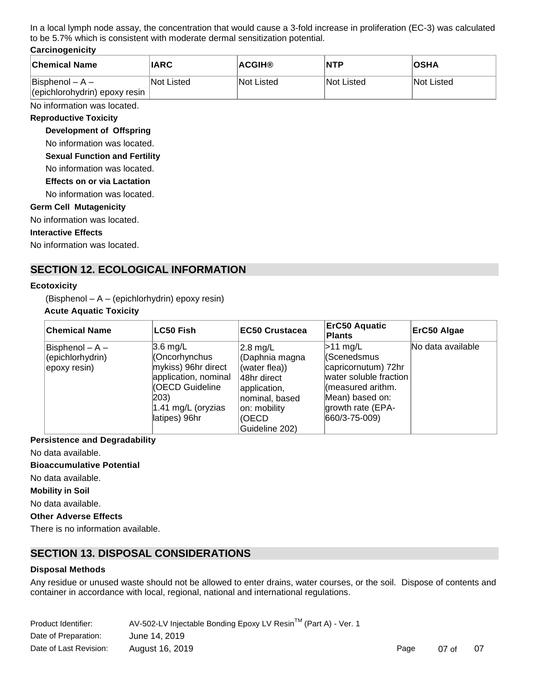In a local lymph node assay, the concentration that would cause a 3-fold increase in proliferation (EC-3) was calculated to be 5.7% which is consistent with moderate dermal sensitization potential.

### **Carcinogenicity**

| <b>Chemical Name</b>                                 | <b>IARC</b> | <b>ACGIH®</b> | <b>NTP</b>        | <b>OSHA</b>       |
|------------------------------------------------------|-------------|---------------|-------------------|-------------------|
| $ B$ isphenol – A –<br>(epichlorohydrin) epoxy resin | lNot Listed | INot Listed   | <b>Not Listed</b> | <b>Not Listed</b> |

No information was located.

#### **Reproductive Toxicity**

**Development of Offspring** 

No information was located.

**Sexual Function and Fertility** 

No information was located.

**Effects on or via Lactation** 

No information was located.

#### **Germ Cell Mutagenicity**

No information was located.

#### **Interactive Effects**

No information was located.

# **SECTION 12. ECOLOGICAL INFORMATION**

#### **Ecotoxicity**

(Bisphenol – A – (epichlorhydrin) epoxy resin)

### **Acute Aquatic Toxicity**

| ∣Chemical Name                                         | <b>LC50 Fish</b>                                                                                                                                                      | <b>EC50 Crustacea</b>                                                                                                                              | <b>ErC50 Aquatic</b><br><b>Plants</b>                                                                                                                                           | ErC50 Algae       |
|--------------------------------------------------------|-----------------------------------------------------------------------------------------------------------------------------------------------------------------------|----------------------------------------------------------------------------------------------------------------------------------------------------|---------------------------------------------------------------------------------------------------------------------------------------------------------------------------------|-------------------|
| Bisphenol $- A -$<br>(epichlorhydrin)<br>(epoxy resin) | $3.6 \text{ mg/L}$<br>Cncorhynchus<br>mykiss) 96hr direct<br>application, nominal<br><b>(OECD Guideline</b><br>$ 203\rangle$<br>$1.41$ mg/L (oryzias<br>latipes) 96hr | $2.8 \text{ mg/L}$<br>(Daphnia magna<br>(water flea))<br>l48hr direct<br>application,<br>nominal, based<br>on: mobility<br>(OECD<br>Guideline 202) | $>11 \text{ mg/L}$<br><i><b>KScenedsmus</b></i><br>capricornutum) 72hr<br>water soluble fraction<br>l(measured arithm.<br>Mean) based on:<br>growth rate (EPA-<br>660/3-75-009) | No data available |

#### **Persistence and Degradability**

No data available.

**Bioaccumulative Potential**

No data available.

**Mobility in Soil**

No data available.

**Other Adverse Effects**

There is no information available.

# **SECTION 13. DISPOSAL CONSIDERATIONS**

#### **Disposal Methods**

Any residue or unused waste should not be allowed to enter drains, water courses, or the soil. Dispose of contents and container in accordance with local, regional, national and international regulations.

| Product Identifier:    | AV-502-LV Injectable Bonding Epoxy LV Resin™ (Part A) - Ver. 1 |      |                 |    |
|------------------------|----------------------------------------------------------------|------|-----------------|----|
| Date of Preparation:   | June 14, 2019                                                  |      |                 |    |
| Date of Last Revision: | August 16, 2019                                                | Page | $07 \text{ of}$ | 07 |